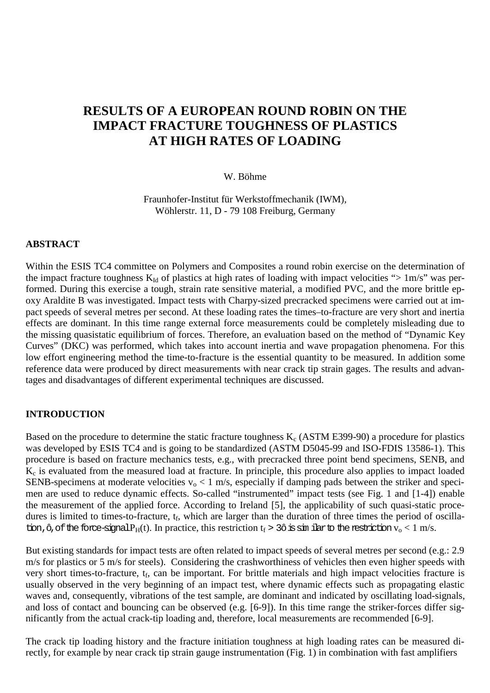# **RESULTS OF A EUROPEAN ROUND ROBIN ON THE IMPACT FRACTURE TOUGHNESS OF PLASTICS AT HIGH RATES OF LOADING**

W. Böhme

Fraunhofer-Institut für Werkstoffmechanik (IWM), Wöhlerstr. 11, D - 79 108 Freiburg, Germany

#### **ABSTRACT**

Within the ESIS TC4 committee on Polymers and Composites a round robin exercise on the determination of the impact fracture toughness  $K_{Id}$  of plastics at high rates of loading with impact velocities "> 1m/s" was performed. During this exercise a tough, strain rate sensitive material, a modified PVC, and the more brittle epoxy Araldite B was investigated. Impact tests with Charpy-sized precracked specimens were carried out at impact speeds of several metres per second. At these loading rates the times–to-fracture are very short and inertia effects are dominant. In this time range external force measurements could be completely misleading due to the missing quasistatic equilibrium of forces. Therefore, an evaluation based on the method of "Dynamic Key Curves" (DKC) was performed, which takes into account inertia and wave propagation phenomena. For this low effort engineering method the time-to-fracture is the essential quantity to be measured. In addition some reference data were produced by direct measurements with near crack tip strain gages. The results and advantages and disadvantages of different experimental techniques are discussed.

### **INTRODUCTION**

Based on the procedure to determine the static fracture toughness  $K_c$  (ASTM E399-90) a procedure for plastics was developed by ESIS TC4 and is going to be standardized (ASTM D5045-99 and ISO-FDIS 13586-1). This procedure is based on fracture mechanics tests, e.g., with precracked three point bend specimens, SENB, and Kc is evaluated from the measured load at fracture. In principle, this procedure also applies to impact loaded SENB-specimens at moderate velocities  $v_0 < 1$  m/s, especially if damping pads between the striker and specimen are used to reduce dynamic effects. So-called "instrumented" impact tests (see Fig. 1 and [1-4]) enable the measurement of the applied force. According to Ireland [5], the applicability of such quasi-static procedures is limited to times-to-fracture,  $t_f$ , which are larger than the duration of three times the period of oscillation,  $\hat{\sigma}$ , of the force-signal  $P_H(t)$ . In practice, this restriction  $t_f > 3\hat{\sigma}$  is sim ilarto the restriction  $v_o < 1$  m/s.

But existing standards for impact tests are often related to impact speeds of several metres per second (e.g.: 2.9 m/s for plastics or 5 m/s for steels). Considering the crashworthiness of vehicles then even higher speeds with very short times-to-fracture,  $t_f$ , can be important. For brittle materials and high impact velocities fracture is usually observed in the very beginning of an impact test, where dynamic effects such as propagating elastic waves and, consequently, vibrations of the test sample, are dominant and indicated by oscillating load-signals, and loss of contact and bouncing can be observed (e.g. [6-9]). In this time range the striker-forces differ significantly from the actual crack-tip loading and, therefore, local measurements are recommended [6-9].

The crack tip loading history and the fracture initiation toughness at high loading rates can be measured directly, for example by near crack tip strain gauge instrumentation (Fig. 1) in combination with fast amplifiers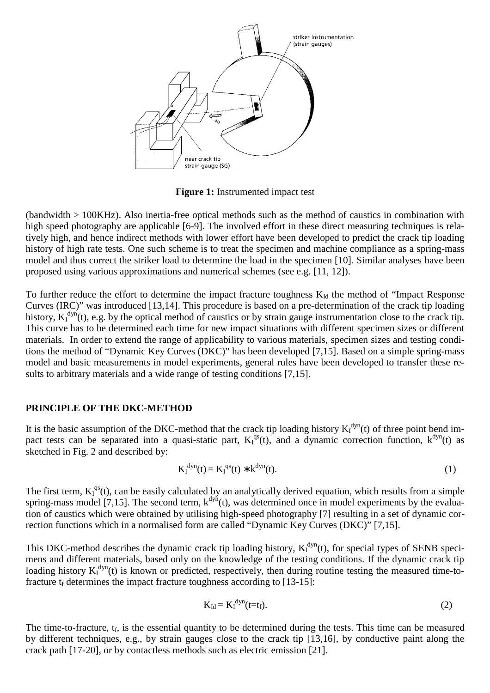

**Figure 1:** Instrumented impact test

(bandwidth > 100KHz). Also inertia-free optical methods such as the method of caustics in combination with high speed photography are applicable [6-9]. The involved effort in these direct measuring techniques is relatively high, and hence indirect methods with lower effort have been developed to predict the crack tip loading history of high rate tests. One such scheme is to treat the specimen and machine compliance as a spring-mass model and thus correct the striker load to determine the load in the specimen [10]. Similar analyses have been proposed using various approximations and numerical schemes (see e.g. [11, 12]).

To further reduce the effort to determine the impact fracture toughness  $K_{1d}$  the method of "Impact Response" Curves (IRC)" was introduced [13,14]. This procedure is based on a pre-determination of the crack tip loading history,  $K_I^{dyn}(t)$ , e.g. by the optical method of caustics or by strain gauge instrumentation close to the crack tip. This curve has to be determined each time for new impact situations with different specimen sizes or different materials. In order to extend the range of applicability to various materials, specimen sizes and testing conditions the method of "Dynamic Key Curves (DKC)" has been developed [7,15]. Based on a simple spring-mass model and basic measurements in model experiments, general rules have been developed to transfer these results to arbitrary materials and a wide range of testing conditions [7,15].

#### **PRINCIPLE OF THE DKC-METHOD**

It is the basic assumption of the DKC-method that the crack tip loading history  $K_I^{dyn}(t)$  of three point bend impact tests can be separated into a quasi-static part,  $K_I^{qs}(t)$ , and a dynamic correction function,  $k^{dyn}(t)$  as sketched in Fig. 2 and described by:

$$
K_I^{dyn}(t) = K_I^{qs}(t) * k^{dyn}(t).
$$
 (1)

The first term,  $K_I^{qs}(t)$ , can be easily calculated by an analytically derived equation, which results from a simple spring-mass model [7,15]. The second term,  $k^{dyn}(t)$ , was determined once in model experiments by the evaluation of caustics which were obtained by utilising high-speed photography [7] resulting in a set of dynamic correction functions which in a normalised form are called "Dynamic Key Curves (DKC)" [7,15].

This DKC-method describes the dynamic crack tip loading history,  $K_I^{dyn}(t)$ , for special types of SENB specimens and different materials, based only on the knowledge of the testing conditions. If the dynamic crack tip loading history  $K_I^{dyn}(t)$  is known or predicted, respectively, then during routine testing the measured time-tofracture  $t_f$  determines the impact fracture toughness according to [13-15]:

$$
K_{Id} = K_I^{\text{dyn}}(t=t_f). \tag{2}
$$

The time-to-fracture,  $t_f$ , is the essential quantity to be determined during the tests. This time can be measured by different techniques, e.g., by strain gauges close to the crack tip [13,16], by conductive paint along the crack path [17-20], or by contactless methods such as electric emission [21].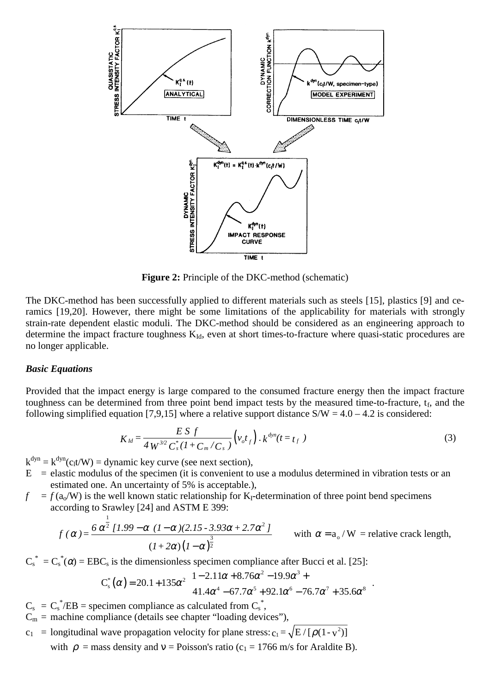

**Figure 2:** Principle of the DKC-method (schematic)

The DKC-method has been successfully applied to different materials such as steels [15], plastics [9] and ceramics [19,20]. However, there might be some limitations of the applicability for materials with strongly strain-rate dependent elastic moduli. The DKC-method should be considered as an engineering approach to determine the impact fracture toughness  $K_{Id}$ , even at short times-to-fracture where quasi-static procedures are no longer applicable.

#### *Basic Equations*

Provided that the impact energy is large compared to the consumed fracture energy then the impact fracture toughness can be determined from three point bend impact tests by the measured time-to-fracture,  $t_f$ , and the following simplified equation [7,9,15] where a relative support distance  $S/W = 4.0 - 4.2$  is considered:

$$
K_{ld} = \frac{ES f}{4 W^{3/2} C_s^* (1 + C_m/C_s)} (v_o t_f) \cdot k^{dyn} (t = t_f)
$$
 (3)

 $k^{dyn} = k^{dyn}(c_1 t/W) =$  dynamic key curve (see next section),

- $E =$  elastic modulus of the specimen (it is convenient to use a modulus determined in vibration tests or an estimated one. An uncertainty of 5% is acceptable.),
- $f = f(a_0/W)$  is the well known static relationship for K<sub>I</sub>-determination of three point bend specimens according to Srawley [24] and ASTM E 399:

$$
f(\alpha) = \frac{6\alpha^{\frac{1}{2}}[1.99 - \alpha (1-\alpha)(2.15 - 3.93\alpha + 2.7\alpha^2]}{(1+2\alpha)(1-\alpha)^{\frac{3}{2}}}
$$
 with  $\alpha = a_0/W$  = relative crack length,

 $C_s^* = C_s^*(\alpha) = EBC_s$  is the dimensionless specimen compliance after Bucci et al. [25]:

$$
C_s^*(\alpha) = 20.1 + 135\alpha^2 \left( \frac{1 - 2.11\alpha + 8.76\alpha^2 - 19.9\alpha^3 + 41.4\alpha^4 - 67.7\alpha^5 + 92.1\alpha^6 - 76.7\alpha^7 + 35.6\alpha^8}{41.4\alpha^4 - 67.7\alpha^5 + 92.1\alpha^6 - 76.7\alpha^7 + 35.6\alpha^8} \right)
$$

- $C_s = C_s^* / EB =$  specimen compliance as calculated from  $C_s^*$ ,
- $C_m$  = machine compliance (details see chapter "loading devices"),
- $c_1$  = longitudinal wave propagation velocity for plane stress:  $c_1 = \sqrt{E/[\rho(1-v^2)]}$

with  $\rho$  = mass density and v = Poisson's ratio (c<sub>1</sub> = 1766 m/s for Araldite B).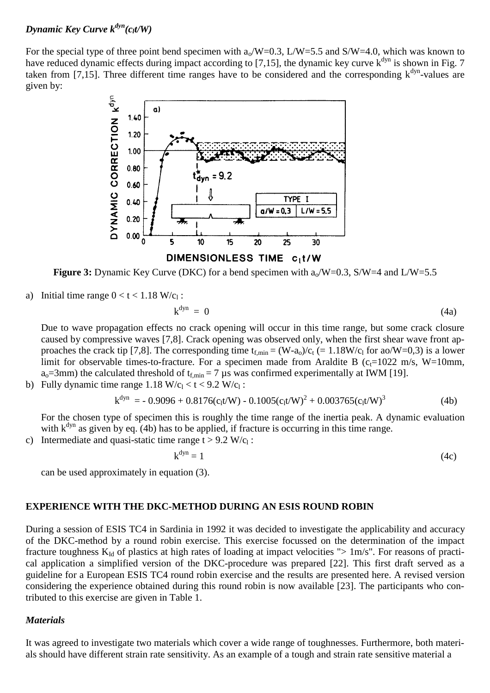### *Dynamic Key Curve*  $k^{dyn}(c_t t/W)$

For the special type of three point bend specimen with  $a_0/W=0.3$ ,  $L/W=5.5$  and  $S/W=4.0$ , which was known to have reduced dynamic effects during impact according to  $[7,15]$ , the dynamic key curve  $k^{dyn}$  is shown in Fig. 7 taken from [7,15]. Three different time ranges have to be considered and the corresponding  $k^{dyn}$ -values are given by:



**Figure 3:** Dynamic Key Curve (DKC) for a bend specimen with  $a_0/W=0.3$ , S/W=4 and L/W=5.5

a) Initial time range  $0 < t < 1.18$  W/c<sub>1</sub>:

$$
k^{dyn} = 0 \tag{4a}
$$

Due to wave propagation effects no crack opening will occur in this time range, but some crack closure caused by compressive waves [7,8]. Crack opening was observed only, when the first shear wave front approaches the crack tip [7,8]. The corresponding time  $t_{f,min} = (W-a_0)/c_t$  (= 1.18W/c<sub>l</sub> for ao/W=0,3) is a lower limit for observable times-to-fracture. For a specimen made from Araldite B ( $c_f$ =1022 m/s, W=10mm,  $a_0$ =3mm) the calculated threshold of t<sub>f,min</sub> = 7 µs was confirmed experimentally at IWM [19].

b) Fully dynamic time range  $1.18 \text{ W/c}_1 < t < 9.2 \text{ W/c}_1$ :

$$
k^{dyn} = -0.9096 + 0.8176(c_1 t/W) - 0.1005(c_1 t/W)^2 + 0.003765(c_1 t/W)^3
$$
\n(4b)

For the chosen type of specimen this is roughly the time range of the inertia peak. A dynamic evaluation with  $k^{dyn}$  as given by eq. (4b) has to be applied, if fracture is occurring in this time range.

c) Intermediate and quasi-static time range  $t > 9.2$  W/c<sub>l</sub>:

$$
k^{dyn} = 1 \tag{4c}
$$

can be used approximately in equation (3).

### **EXPERIENCE WITH THE DKC-METHOD DURING AN ESIS ROUND ROBIN**

During a session of ESIS TC4 in Sardinia in 1992 it was decided to investigate the applicability and accuracy of the DKC-method by a round robin exercise. This exercise focussed on the determination of the impact fracture toughness  $K_{Id}$  of plastics at high rates of loading at impact velocities "> 1m/s". For reasons of practical application a simplified version of the DKC-procedure was prepared [22]. This first draft served as a guideline for a European ESIS TC4 round robin exercise and the results are presented here. A revised version considering the experience obtained during this round robin is now available [23]. The participants who contributed to this exercise are given in Table 1.

### *Materials*

It was agreed to investigate two materials which cover a wide range of toughnesses. Furthermore, both materials should have different strain rate sensitivity. As an example of a tough and strain rate sensitive material a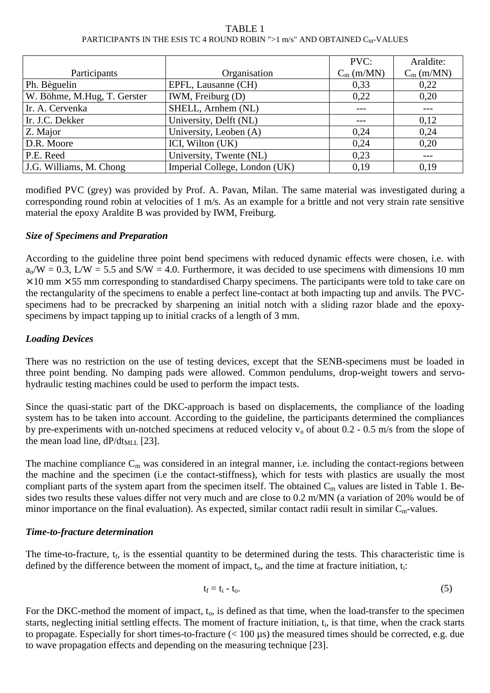#### TABLE 1 PARTICIPANTS IN THE ESIS TC 4 ROUND ROBIN ">1 m/s" AND OBTAINED C<sub>M</sub>-VALUES

|                             |                               | PVC:         | Araldite:    |
|-----------------------------|-------------------------------|--------------|--------------|
| Participants                | Organisation                  | $C_m$ (m/MN) | $C_m$ (m/MN) |
| Ph. Bèguelin                | EPFL, Lausanne (CH)           | 0,33         | 0,22         |
| W. Böhme, M.Hug, T. Gerster | IWM, Freiburg (D)             | 0,22         | 0,20         |
| Ir. A. Cervenka             | SHELL, Arnhem (NL)            |              |              |
| Ir. J.C. Dekker             | University, Delft (NL)        |              | 0,12         |
| Z. Major                    | University, Leoben (A)        | 0,24         | 0,24         |
| D.R. Moore                  | ICI, Wilton (UK)              | 0,24         | 0,20         |
| P.E. Reed                   | University, Twente (NL)       | 0,23         |              |
| J.G. Williams, M. Chong     | Imperial College, London (UK) | 0.19         | 0.19         |

modified PVC (grey) was provided by Prof. A. Pavan, Milan. The same material was investigated during a corresponding round robin at velocities of 1 m/s. As an example for a brittle and not very strain rate sensitive material the epoxy Araldite B was provided by IWM, Freiburg.

# *Size of Specimens and Preparation*

According to the guideline three point bend specimens with reduced dynamic effects were chosen, i.e. with  $a_0/W = 0.3$ ,  $L/W = 5.5$  and  $S/W = 4.0$ . Furthermore, it was decided to use specimens with dimensions 10 mm  $\times$  10 mm  $\times$  55 mm corresponding to standardised Charpy specimens. The participants were told to take care on the rectangularity of the specimens to enable a perfect line-contact at both impacting tup and anvils. The PVCspecimens had to be precracked by sharpening an initial notch with a sliding razor blade and the epoxyspecimens by impact tapping up to initial cracks of a length of 3 mm.

# *Loading Devices*

There was no restriction on the use of testing devices, except that the SENB-specimens must be loaded in three point bending. No damping pads were allowed. Common pendulums, drop-weight towers and servohydraulic testing machines could be used to perform the impact tests.

Since the quasi-static part of the DKC-approach is based on displacements, the compliance of the loading system has to be taken into account. According to the guideline, the participants determined the compliances by pre-experiments with un-notched specimens at reduced velocity  $v_0$  of about 0.2 - 0.5 m/s from the slope of the mean load line,  $dP/dt_{MLL}$  [23].

The machine compliance  $C_m$  was considered in an integral manner, i.e. including the contact-regions between the machine and the specimen (i.e the contact-stiffness), which for tests with plastics are usually the most compliant parts of the system apart from the specimen itself. The obtained  $C_m$  values are listed in Table 1. Besides two results these values differ not very much and are close to 0.2 m/MN (a variation of 20% would be of minor importance on the final evaluation). As expected, similar contact radii result in similar  $C_m$ -values.

# *Time-to-fracture determination*

The time-to-fracture,  $t_f$ , is the essential quantity to be determined during the tests. This characteristic time is defined by the difference between the moment of impact,  $t_0$ , and the time at fracture initiation,  $t_i$ :

$$
t_f = t_i - t_o. \tag{5}
$$

For the DKC-method the moment of impact,  $t_0$ , is defined as that time, when the load-transfer to the specimen starts, neglecting initial settling effects. The moment of fracture initiation, t<sub>i</sub>, is that time, when the crack starts to propagate. Especially for short times-to-fracture (< 100 µs) the measured times should be corrected, e.g. due to wave propagation effects and depending on the measuring technique [23].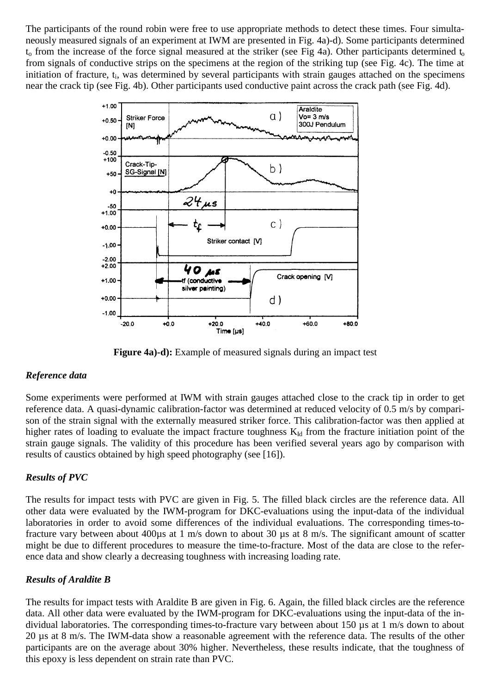The participants of the round robin were free to use appropriate methods to detect these times. Four simultaneously measured signals of an experiment at IWM are presented in Fig. 4a)-d). Some participants determined  $t_0$  from the increase of the force signal measured at the striker (see Fig 4a). Other participants determined  $t_0$ from signals of conductive strips on the specimens at the region of the striking tup (see Fig. 4c). The time at initiation of fracture, t<sub>i</sub>, was determined by several participants with strain gauges attached on the specimens near the crack tip (see Fig. 4b). Other participants used conductive paint across the crack path (see Fig. 4d).



**Figure 4a)-d):** Example of measured signals during an impact test

# *Reference data*

Some experiments were performed at IWM with strain gauges attached close to the crack tip in order to get reference data. A quasi-dynamic calibration-factor was determined at reduced velocity of 0.5 m/s by comparison of the strain signal with the externally measured striker force. This calibration-factor was then applied at higher rates of loading to evaluate the impact fracture toughness  $K_{Id}$  from the fracture initiation point of the strain gauge signals. The validity of this procedure has been verified several years ago by comparison with results of caustics obtained by high speed photography (see [16]).

# *Results of PVC*

The results for impact tests with PVC are given in Fig. 5. The filled black circles are the reference data. All other data were evaluated by the IWM-program for DKC-evaluations using the input-data of the individual laboratories in order to avoid some differences of the individual evaluations. The corresponding times-tofracture vary between about 400µs at 1 m/s down to about 30 µs at 8 m/s. The significant amount of scatter might be due to different procedures to measure the time-to-fracture. Most of the data are close to the reference data and show clearly a decreasing toughness with increasing loading rate.

# *Results of Araldite B*

The results for impact tests with Araldite B are given in Fig. 6. Again, the filled black circles are the reference data. All other data were evaluated by the IWM-program for DKC-evaluations using the input-data of the individual laboratories. The corresponding times-to-fracture vary between about 150 µs at 1 m/s down to about 20 µs at 8 m/s. The IWM-data show a reasonable agreement with the reference data. The results of the other participants are on the average about 30% higher. Nevertheless, these results indicate, that the toughness of this epoxy is less dependent on strain rate than PVC.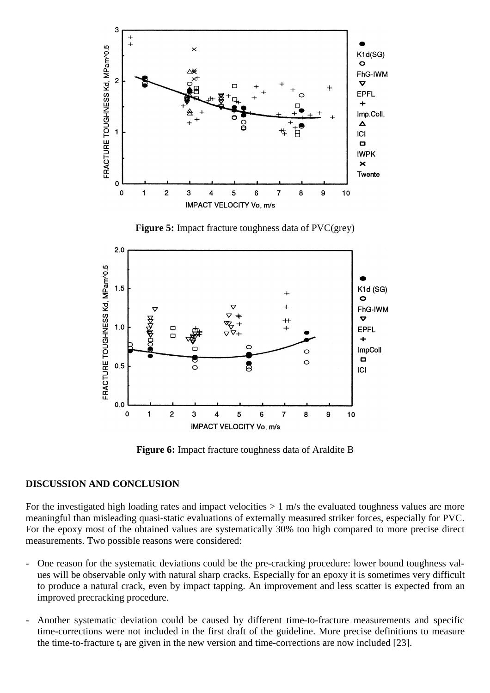

**Figure 6:** Impact fracture toughness data of Araldite B

IMPACT VELOCITY Vo, m/s

### **DISCUSSION AND CONCLUSION**

For the investigated high loading rates and impact velocities  $> 1$  m/s the evaluated toughness values are more meaningful than misleading quasi-static evaluations of externally measured striker forces, especially for PVC. For the epoxy most of the obtained values are systematically 30% too high compared to more precise direct measurements. Two possible reasons were considered:

- One reason for the systematic deviations could be the pre-cracking procedure: lower bound toughness values will be observable only with natural sharp cracks. Especially for an epoxy it is sometimes very difficult to produce a natural crack, even by impact tapping. An improvement and less scatter is expected from an improved precracking procedure.
- Another systematic deviation could be caused by different time-to-fracture measurements and specific time-corrections were not included in the first draft of the guideline. More precise definitions to measure the time-to-fracture  $t_f$  are given in the new version and time-corrections are now included [23].